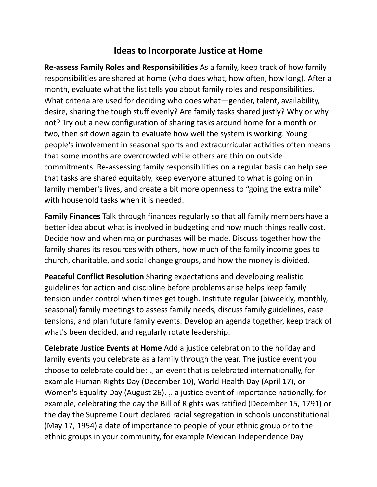## **Ideas to Incorporate Justice at Home**

**Re-assess Family Roles and Responsibilities** As a family, keep track of how family responsibilities are shared at home (who does what, how often, how long). After a month, evaluate what the list tells you about family roles and responsibilities. What criteria are used for deciding who does what—gender, talent, availability, desire, sharing the tough stuff evenly? Are family tasks shared justly? Why or why not? Try out a new configuration of sharing tasks around home for a month or two, then sit down again to evaluate how well the system is working. Young people's involvement in seasonal sports and extracurricular activities often means that some months are overcrowded while others are thin on outside commitments. Re-assessing family responsibilities on a regular basis can help see that tasks are shared equitably, keep everyone attuned to what is going on in family member's lives, and create a bit more openness to "going the extra mile" with household tasks when it is needed.

**Family Finances** Talk through finances regularly so that all family members have a better idea about what is involved in budgeting and how much things really cost. Decide how and when major purchases will be made. Discuss together how the family shares its resources with others, how much of the family income goes to church, charitable, and social change groups, and how the money is divided.

**Peaceful Conflict Resolution** Sharing expectations and developing realistic guidelines for action and discipline before problems arise helps keep family tension under control when times get tough. Institute regular (biweekly, monthly, seasonal) family meetings to assess family needs, discuss family guidelines, ease tensions, and plan future family events. Develop an agenda together, keep track of what's been decided, and regularly rotate leadership.

**Celebrate Justice Events at Home** Add a justice celebration to the holiday and family events you celebrate as a family through the year. The justice event you choose to celebrate could be: .. an event that is celebrated internationally, for example Human Rights Day (December 10), World Health Day (April 17), or Women's Equality Day (August 26). a justice event of importance nationally, for example, celebrating the day the Bill of Rights was ratified (December 15, 1791) or the day the Supreme Court declared racial segregation in schools unconstitutional (May 17, 1954) a date of importance to people of your ethnic group or to the ethnic groups in your community, for example Mexican Independence Day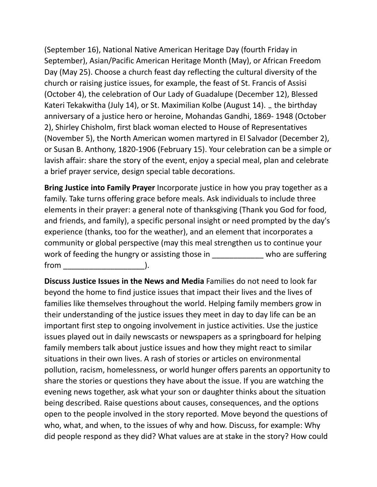(September 16), National Native American Heritage Day (fourth Friday in September), Asian/Pacific American Heritage Month (May), or African Freedom Day (May 25). Choose a church feast day reflecting the cultural diversity of the church or raising justice issues, for example, the feast of St. Francis of Assisi (October 4), the celebration of Our Lady of Guadalupe (December 12), Blessed Kateri Tekakwitha (July 14), or St. Maximilian Kolbe (August 14). .. the birthday anniversary of a justice hero or heroine, Mohandas Gandhi, 1869- 1948 (October 2), Shirley Chisholm, first black woman elected to House of Representatives (November 5), the North American women martyred in El Salvador (December 2), or Susan B. Anthony, 1820-1906 (February 15). Your celebration can be a simple or lavish affair: share the story of the event, enjoy a special meal, plan and celebrate a brief prayer service, design special table decorations.

**Bring Justice into Family Prayer** Incorporate justice in how you pray together as a family. Take turns offering grace before meals. Ask individuals to include three elements in their prayer: a general note of thanksgiving (Thank you God for food, and friends, and family), a specific personal insight or need prompted by the day's experience (thanks, too for the weather), and an element that incorporates a community or global perspective (may this meal strengthen us to continue your work of feeding the hungry or assisting those in \_\_\_\_\_\_\_\_\_\_\_\_\_ who are suffering  $from$   $).$ 

**Discuss Justice Issues in the News and Media** Families do not need to look far beyond the home to find justice issues that impact their lives and the lives of families like themselves throughout the world. Helping family members grow in their understanding of the justice issues they meet in day to day life can be an important first step to ongoing involvement in justice activities. Use the justice issues played out in daily newscasts or newspapers as a springboard for helping family members talk about justice issues and how they might react to similar situations in their own lives. A rash of stories or articles on environmental pollution, racism, homelessness, or world hunger offers parents an opportunity to share the stories or questions they have about the issue. If you are watching the evening news together, ask what your son or daughter thinks about the situation being described. Raise questions about causes, consequences, and the options open to the people involved in the story reported. Move beyond the questions of who, what, and when, to the issues of why and how. Discuss, for example: Why did people respond as they did? What values are at stake in the story? How could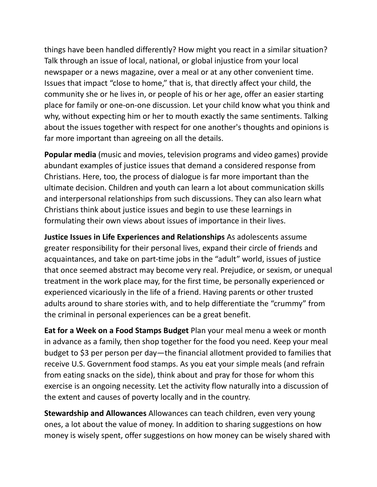things have been handled differently? How might you react in a similar situation? Talk through an issue of local, national, or global injustice from your local newspaper or a news magazine, over a meal or at any other convenient time. Issues that impact "close to home," that is, that directly affect your child, the community she or he lives in, or people of his or her age, offer an easier starting place for family or one-on-one discussion. Let your child know what you think and why, without expecting him or her to mouth exactly the same sentiments. Talking about the issues together with respect for one another's thoughts and opinions is far more important than agreeing on all the details.

**Popular media** (music and movies, television programs and video games) provide abundant examples of justice issues that demand a considered response from Christians. Here, too, the process of dialogue is far more important than the ultimate decision. Children and youth can learn a lot about communication skills and interpersonal relationships from such discussions. They can also learn what Christians think about justice issues and begin to use these learnings in formulating their own views about issues of importance in their lives.

**Justice Issues in Life Experiences and Relationships** As adolescents assume greater responsibility for their personal lives, expand their circle of friends and acquaintances, and take on part-time jobs in the "adult" world, issues of justice that once seemed abstract may become very real. Prejudice, or sexism, or unequal treatment in the work place may, for the first time, be personally experienced or experienced vicariously in the life of a friend. Having parents or other trusted adults around to share stories with, and to help differentiate the "crummy" from the criminal in personal experiences can be a great benefit.

**Eat for a Week on a Food Stamps Budget** Plan your meal menu a week or month in advance as a family, then shop together for the food you need. Keep your meal budget to \$3 per person per day—the financial allotment provided to families that receive U.S. Government food stamps. As you eat your simple meals (and refrain from eating snacks on the side), think about and pray for those for whom this exercise is an ongoing necessity. Let the activity flow naturally into a discussion of the extent and causes of poverty locally and in the country.

**Stewardship and Allowances** Allowances can teach children, even very young ones, a lot about the value of money. In addition to sharing suggestions on how money is wisely spent, offer suggestions on how money can be wisely shared with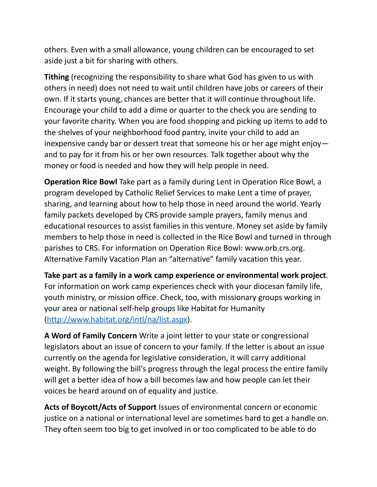others. Even with a small allowance, young children can be encouraged to set aside just a bit for sharing with others.

**Tithing** (recognizing the responsibility to share what God has given to us with others in need) does not need to wait until children have jobs or careers of their own. If it starts young, chances are better that it will continue throughout life. Encourage your child to add a dime or quarter to the check you are sending to your favorite charity. When you are food shopping and picking up items to add to the shelves of your neighborhood food pantry, invite your child to add an inexpensive candy bar or dessert treat that someone his or her age might enjoy and to pay for it from his or her own resources. Talk together about why the money or food is needed and how they will help people in need.

**Operation Rice Bowl** Take part as a family during Lent in Operation Rice Bowl, a program developed by Catholic Relief Services to make Lent a time of prayer, sharing, and learning about how to help those in need around the world. Yearly family packets developed by CRS provide sample prayers, family menus and educational resources to assist families in this venture. Money set aside by family members to help those in need is collected in the Rice Bowl and turned in through parishes to CRS. For information on Operation Rice Bowl: www.orb.crs.org. Alternative Family Vacation Plan an "alternative" family vacation this year.

**Take part as a family in a work camp experience or environmental work project**. For information on work camp experiences check with your diocesan family life, youth ministry, or mission office. Check, too, with missionary groups working in your area or national self-help groups like Habitat for Humanity [\(http://www.habitat.org/intl/na/list.aspx](http://www.habitat.org/intl/na/list.aspx)).

**A Word of Family Concern** Write a joint letter to your state or congressional legislators about an issue of concern to your family. If the letter is about an issue currently on the agenda for legislative consideration, it will carry additional weight. By following the bill's progress through the legal process the entire family will get a better idea of how a bill becomes law and how people can let their voices be heard around on of equality and justice.

**Acts of Boycott/Acts of Support** Issues of environmental concern or economic justice on a national or international level are sometimes hard to get a handle on. They often seem too big to get involved in or too complicated to be able to do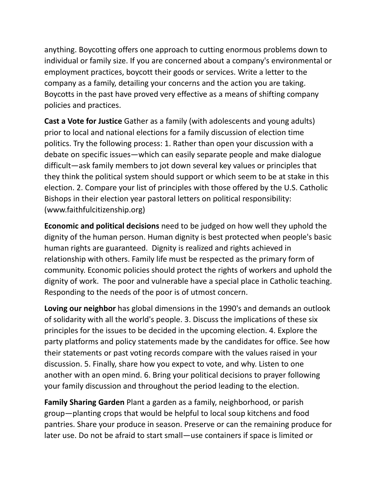anything. Boycotting offers one approach to cutting enormous problems down to individual or family size. If you are concerned about a company's environmental or employment practices, boycott their goods or services. Write a letter to the company as a family, detailing your concerns and the action you are taking. Boycotts in the past have proved very effective as a means of shifting company policies and practices.

**Cast a Vote for Justice** Gather as a family (with adolescents and young adults) prior to local and national elections for a family discussion of election time politics. Try the following process: 1. Rather than open your discussion with a debate on specific issues—which can easily separate people and make dialogue difficult—ask family members to jot down several key values or principles that they think the political system should support or which seem to be at stake in this election. 2. Compare your list of principles with those offered by the U.S. Catholic Bishops in their election year pastoral letters on political responsibility: (www.faithfulcitizenship.org)

**Economic and political decisions** need to be judged on how well they uphold the dignity of the human person. Human dignity is best protected when people's basic human rights are guaranteed. Dignity is realized and rights achieved in relationship with others. Family life must be respected as the primary form of community. Economic policies should protect the rights of workers and uphold the dignity of work. The poor and vulnerable have a special place in Catholic teaching. Responding to the needs of the poor is of utmost concern.

**Loving our neighbor** has global dimensions in the 1990's and demands an outlook of solidarity with all the world's people. 3. Discuss the implications of these six principles for the issues to be decided in the upcoming election. 4. Explore the party platforms and policy statements made by the candidates for office. See how their statements or past voting records compare with the values raised in your discussion. 5. Finally, share how you expect to vote, and why. Listen to one another with an open mind. 6. Bring your political decisions to prayer following your family discussion and throughout the period leading to the election.

**Family Sharing Garden** Plant a garden as a family, neighborhood, or parish group—planting crops that would be helpful to local soup kitchens and food pantries. Share your produce in season. Preserve or can the remaining produce for later use. Do not be afraid to start small—use containers if space is limited or